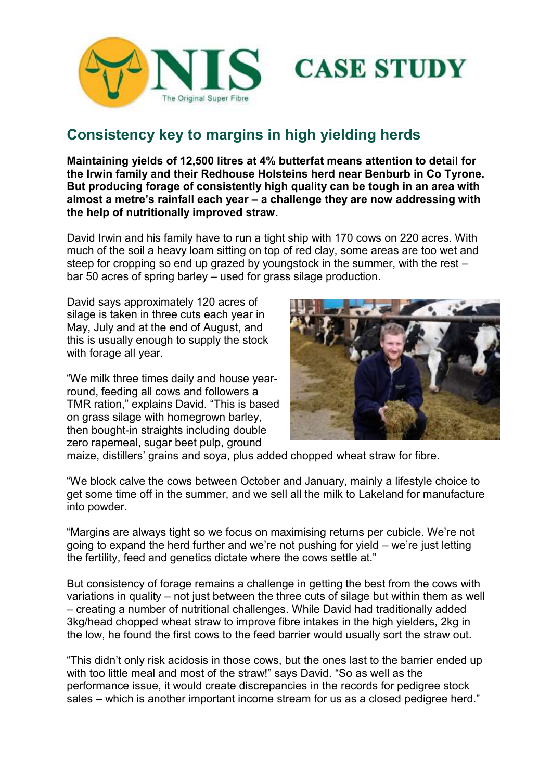



**Maintaining yields of 12,500 litres at 4% butterfat means attention to detail for the Irwin family and their Redhouse Holsteins herd near Benburb in Co Tyrone. But producing forage of consistently high quality can be tough in an area with almost a metre's rainfall each year – a challenge they are now addressing with the help of nutritionally improved straw.**

David Irwin and his family have to run a tight ship with 170 cows on 220 acres. With much of the soil a heavy loam sitting on top of red clay, some areas are too wet and steep for cropping so end up grazed by youngstock in the summer, with the rest – bar 50 acres of spring barley – used for grass silage production.

David says approximately 120 acres of silage is taken in three cuts each year in May, July and at the end of August, and this is usually enough to supply the stock with forage all year.

"We milk three times daily and house yearround, feeding all cows and followers a TMR ration," explains David. "This is based on grass silage with homegrown barley, then bought-in straights including double zero rapemeal, sugar beet pulp, ground



**CASE STUDY** 

maize, distillers' grains and soya, plus added chopped wheat straw for fibre.

"We block calve the cows between October and January, mainly a lifestyle choice to get some time off in the summer, and we sell all the milk to Lakeland for manufacture into powder.

"Margins are always tight so we focus on maximising returns per cubicle. We're not going to expand the herd further and we're not pushing for yield – we're just letting the fertility, feed and genetics dictate where the cows settle at."

But consistency of forage remains a challenge in getting the best from the cows with variations in quality – not just between the three cuts of silage but within them as well – creating a number of nutritional challenges. While David had traditionally added 3kg/head chopped wheat straw to improve fibre intakes in the high yielders, 2kg in the low, he found the first cows to the feed barrier would usually sort the straw out.

"This didn't only risk acidosis in those cows, but the ones last to the barrier ended up with too little meal and most of the straw!" says David. "So as well as the performance issue, it would create discrepancies in the records for pedigree stock sales – which is another important income stream for us as a closed pedigree herd."